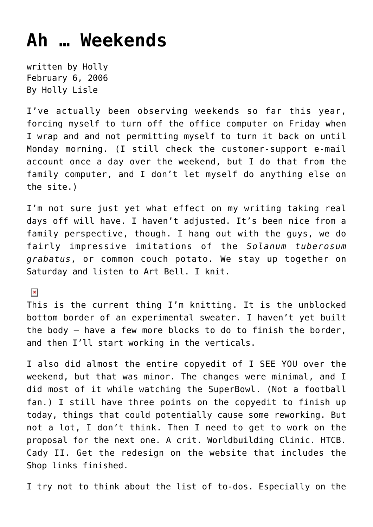## **[Ah … Weekends](https://hollylisle.com/ah-weekends/)**

written by Holly February 6, 2006 [By Holly Lisle](https://hollylisle.com)

I've actually been observing weekends so far this year, forcing myself to turn off the office computer on Friday when I wrap and and not permitting myself to turn it back on until Monday morning. (I still check the customer-support e-mail account once a day over the weekend, but I do that from the family computer, and I don't let myself do anything else on the site.)

I'm not sure just yet what effect on my writing taking real days off will have. I haven't adjusted. It's been nice from a family perspective, though. I hang out with the guys, we do fairly impressive imitations of the *Solanum tuberosum grabatus*, or common couch potato. We stay up together on Saturday and listen to Art Bell. I knit.

 $\pmb{\times}$ 

This is the current thing I'm knitting. It is the unblocked bottom border of an experimental sweater. I haven't yet built the body — have a few more blocks to do to finish the border, and then I'll start working in the verticals.

I also did almost the entire copyedit of I SEE YOU over the weekend, but that was minor. The changes were minimal, and I did most of it while watching the SuperBowl. (Not a football fan.) I still have three points on the copyedit to finish up today, things that could potentially cause some reworking. But not a lot, I don't think. Then I need to get to work on the proposal for the next one. A crit. Worldbuilding Clinic. HTCB. Cady II. Get the redesign on the website that includes the Shop links finished.

I try not to think about the list of to-dos. Especially on the